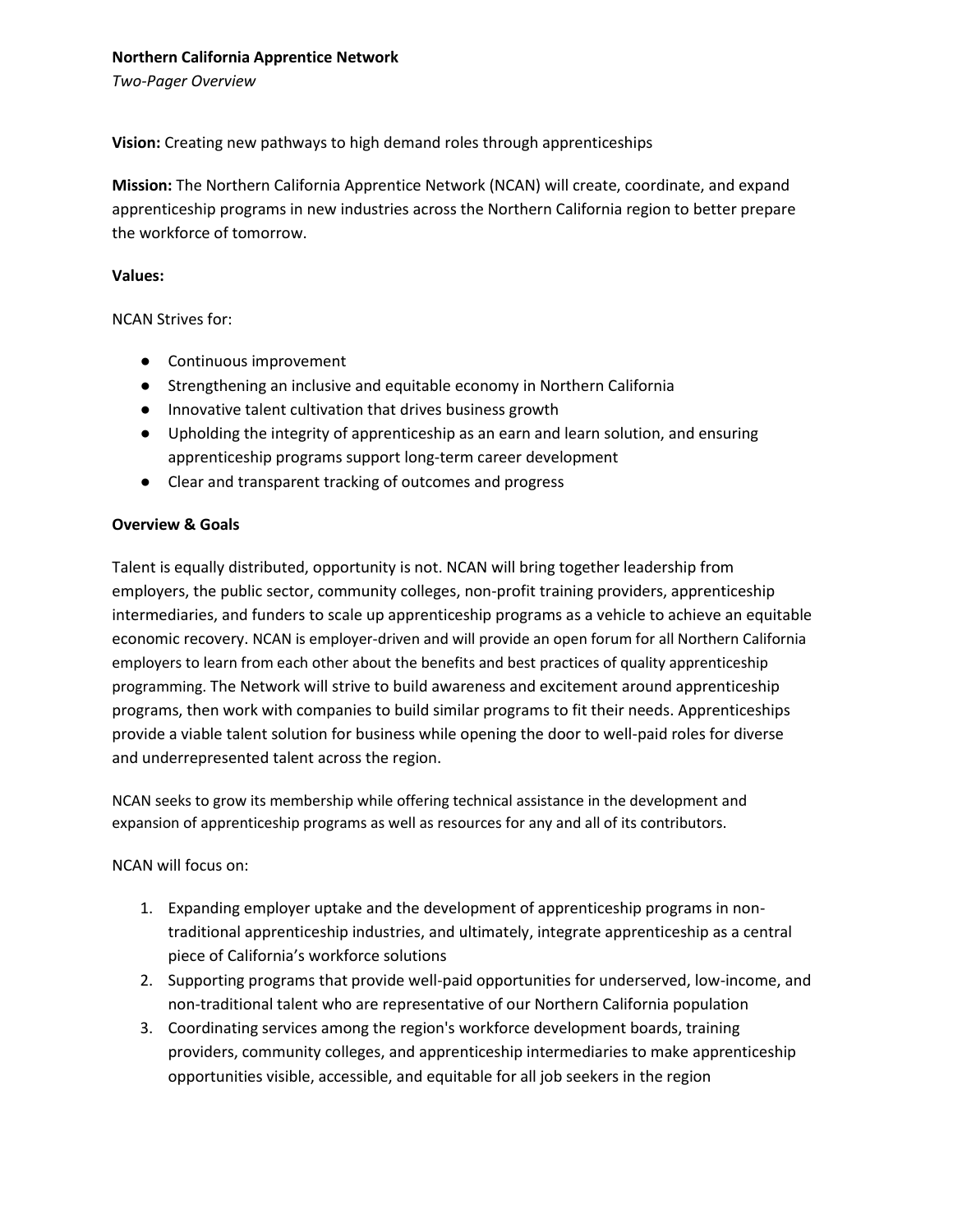### **Northern California Apprentice Network**

*Two-Pager Overview*

**Vision:** Creating new pathways to high demand roles through apprenticeships

**Mission:** The Northern California Apprentice Network (NCAN) will create, coordinate, and expand apprenticeship programs in new industries across the Northern California region to better prepare the workforce of tomorrow.

### **Values:**

NCAN Strives for:

- Continuous improvement
- Strengthening an inclusive and equitable economy in Northern California
- Innovative talent cultivation that drives business growth
- Upholding the integrity of apprenticeship as an earn and learn solution, and ensuring apprenticeship programs support long-term career development
- Clear and transparent tracking of outcomes and progress

# **Overview & Goals**

Talent is equally distributed, opportunity is not. NCAN will bring together leadership from employers, the public sector, community colleges, non-profit training providers, apprenticeship intermediaries, and funders to scale up apprenticeship programs as a vehicle to achieve an equitable economic recovery. NCAN is employer-driven and will provide an open forum for all Northern California employers to learn from each other about the benefits and best practices of quality apprenticeship programming. The Network will strive to build awareness and excitement around apprenticeship programs, then work with companies to build similar programs to fit their needs. Apprenticeships provide a viable talent solution for business while opening the door to well-paid roles for diverse and underrepresented talent across the region.

NCAN seeks to grow its membership while offering technical assistance in the development and expansion of apprenticeship programs as well as resources for any and all of its contributors.

NCAN will focus on:

- 1. Expanding employer uptake and the development of apprenticeship programs in nontraditional apprenticeship industries, and ultimately, integrate apprenticeship as a central piece of California's workforce solutions
- 2. Supporting programs that provide well-paid opportunities for underserved, low-income, and non-traditional talent who are representative of our Northern California population
- 3. Coordinating services among the region's workforce development boards, training providers, community colleges, and apprenticeship intermediaries to make apprenticeship opportunities visible, accessible, and equitable for all job seekers in the region